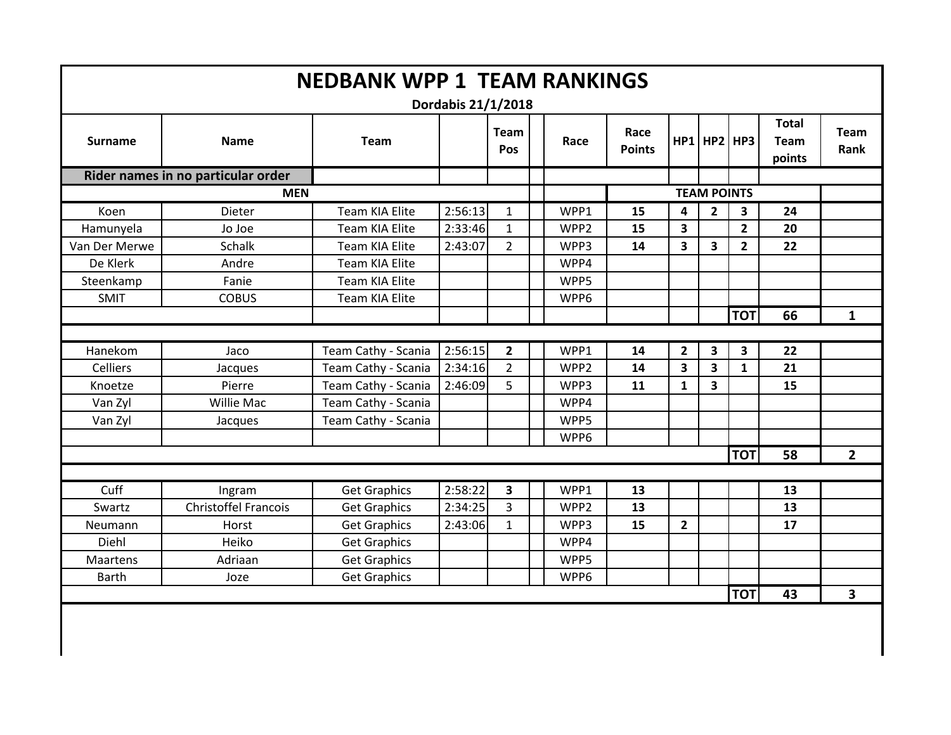| <b>NEDBANK WPP 1 TEAM RANKINGS</b><br>Dordabis 21/1/2018 |                                    |                     |         |                         |                  |                       |                         |                         |                |                                       |                         |
|----------------------------------------------------------|------------------------------------|---------------------|---------|-------------------------|------------------|-----------------------|-------------------------|-------------------------|----------------|---------------------------------------|-------------------------|
| <b>Surname</b>                                           | <b>Name</b>                        | <b>Team</b>         |         | <b>Team</b><br>Pos      | Race             | Race<br><b>Points</b> |                         | HP1 HP2 HP3             |                | <b>Total</b><br><b>Team</b><br>points | <b>Team</b><br>Rank     |
|                                                          | Rider names in no particular order |                     |         |                         |                  |                       |                         |                         |                |                                       |                         |
|                                                          |                                    |                     |         |                         |                  | <b>TEAM POINTS</b>    |                         |                         |                |                                       |                         |
| Koen                                                     | <b>Dieter</b>                      | Team KIA Elite      | 2:56:13 | $\mathbf{1}$            | WPP1             | 15                    | $\overline{\mathbf{4}}$ | $\overline{2}$          | 3              | 24                                    |                         |
| Hamunyela                                                | Jo Joe                             | Team KIA Elite      | 2:33:46 | 1                       | WPP <sub>2</sub> | 15                    | $\overline{\mathbf{3}}$ |                         | $\overline{2}$ | 20                                    |                         |
| Van Der Merwe                                            | Schalk                             | Team KIA Elite      | 2:43:07 | $\overline{2}$          | WPP3             | 14                    | $\overline{\mathbf{3}}$ | $\overline{\mathbf{3}}$ | $\overline{2}$ | 22                                    |                         |
| De Klerk                                                 | Andre                              | Team KIA Elite      |         |                         | WPP4             |                       |                         |                         |                |                                       |                         |
| Steenkamp                                                | Fanie                              | Team KIA Elite      |         |                         | WPP5             |                       |                         |                         |                |                                       |                         |
| <b>SMIT</b>                                              | <b>COBUS</b>                       | Team KIA Elite      |         |                         | WPP6             |                       |                         |                         |                |                                       |                         |
|                                                          |                                    |                     |         |                         |                  |                       |                         |                         | <b>TOT</b>     | 66                                    | $\mathbf{1}$            |
|                                                          |                                    |                     |         |                         |                  |                       |                         |                         |                |                                       |                         |
| Hanekom                                                  | Jaco                               | Team Cathy - Scania | 2:56:15 | $\mathbf{2}$            | WPP1             | 14                    | $\overline{\mathbf{2}}$ | $\mathbf{3}$            | 3              | 22                                    |                         |
| <b>Celliers</b>                                          | Jacques                            | Team Cathy - Scania | 2:34:16 | $2^{\circ}$             | WPP <sub>2</sub> | 14                    | $\overline{\mathbf{3}}$ | $\overline{\mathbf{3}}$ | $\mathbf{1}$   | 21                                    |                         |
| Knoetze                                                  | Pierre                             | Team Cathy - Scania | 2:46:09 | 5                       | WPP3             | 11                    | $\mathbf{1}$            | $\overline{\mathbf{3}}$ |                | 15                                    |                         |
| Van Zyl                                                  | Willie Mac                         | Team Cathy - Scania |         |                         | WPP4             |                       |                         |                         |                |                                       |                         |
| Van Zyl                                                  | Jacques                            | Team Cathy - Scania |         |                         | WPP5             |                       |                         |                         |                |                                       |                         |
|                                                          |                                    |                     |         |                         | WPP6             |                       |                         |                         |                |                                       |                         |
|                                                          |                                    |                     |         |                         |                  |                       |                         |                         | <b>TOT</b>     | 58                                    | $2^{\circ}$             |
|                                                          |                                    |                     |         |                         |                  |                       |                         |                         |                |                                       |                         |
| Cuff                                                     | Ingram                             | <b>Get Graphics</b> | 2:58:22 | $\overline{\mathbf{3}}$ | WPP1             | 13                    |                         |                         |                | 13                                    |                         |
| Swartz                                                   | <b>Christoffel Francois</b>        | <b>Get Graphics</b> | 2:34:25 | 3                       | WPP2             | 13                    |                         |                         |                | 13                                    |                         |
| Neumann                                                  | Horst                              | <b>Get Graphics</b> | 2:43:06 | $\mathbf{1}$            | WPP3             | 15                    | $\overline{2}$          |                         |                | 17                                    |                         |
| Diehl                                                    | Heiko                              | <b>Get Graphics</b> |         |                         | WPP4             |                       |                         |                         |                |                                       |                         |
| <b>Maartens</b>                                          | Adriaan                            | <b>Get Graphics</b> |         |                         | WPP5             |                       |                         |                         |                |                                       |                         |
| <b>Barth</b>                                             | Joze                               | <b>Get Graphics</b> |         |                         | WPP6             |                       |                         |                         |                |                                       |                         |
|                                                          |                                    |                     |         |                         |                  |                       |                         |                         | <b>TOT</b>     | 43                                    | $\overline{\mathbf{3}}$ |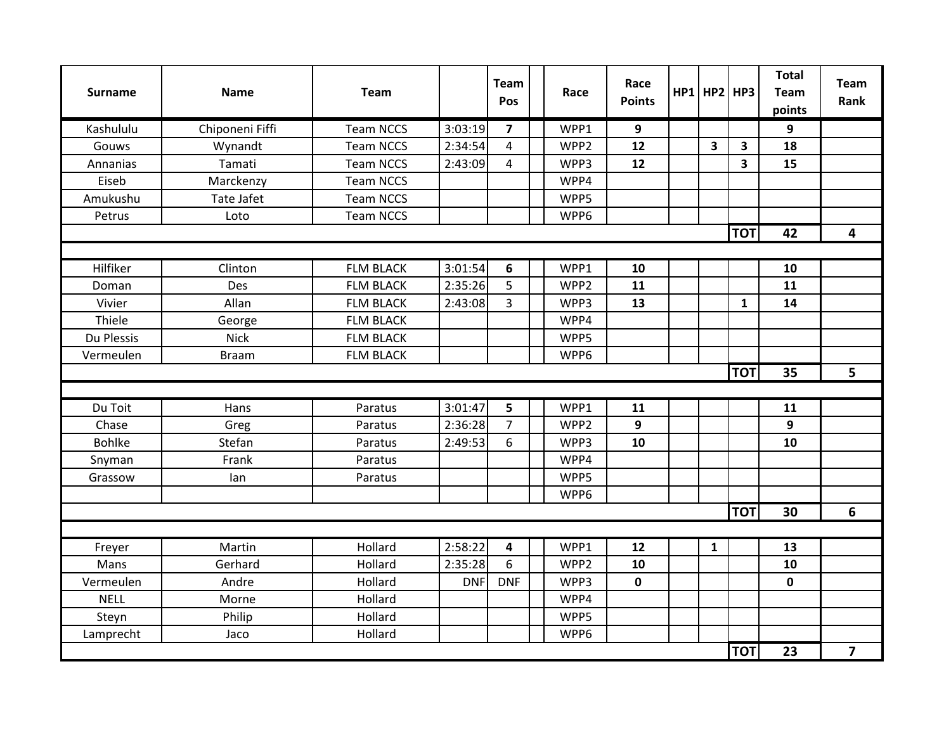| <b>Surname</b> | Name            | Team             |            | <b>Team</b><br>Pos | Race             | Race<br><b>Points</b> | $HP1$ HP2 HP3 |              | <b>Total</b><br><b>Team</b><br>points | <b>Team</b><br>Rank |
|----------------|-----------------|------------------|------------|--------------------|------------------|-----------------------|---------------|--------------|---------------------------------------|---------------------|
| Kashululu      | Chiponeni Fiffi | <b>Team NCCS</b> | 3:03:19    | $\overline{7}$     | WPP1             | 9                     |               |              | 9                                     |                     |
| Gouws          | Wynandt         | <b>Team NCCS</b> | 2:34:54    | 4                  | WPP <sub>2</sub> | 12                    | 3             | 3            | 18                                    |                     |
| Annanias       | Tamati          | <b>Team NCCS</b> | 2:43:09    | $\overline{4}$     | WPP3             | 12                    |               | 3            | 15                                    |                     |
| Eiseb          | Marckenzy       | <b>Team NCCS</b> |            |                    | WPP4             |                       |               |              |                                       |                     |
| Amukushu       | Tate Jafet      | <b>Team NCCS</b> |            |                    | WPP5             |                       |               |              |                                       |                     |
| Petrus         | Loto            | <b>Team NCCS</b> |            |                    | WPP6             |                       |               |              |                                       |                     |
|                |                 |                  |            |                    |                  |                       |               | <b>TOT</b>   | 42                                    | 4                   |
|                |                 |                  |            |                    |                  |                       |               |              |                                       |                     |
| Hilfiker       | Clinton         | <b>FLM BLACK</b> | 3:01:54    | 6                  | WPP1             | 10                    |               |              | 10                                    |                     |
| Doman          | Des             | <b>FLM BLACK</b> | 2:35:26    | 5                  | WPP <sub>2</sub> | 11                    |               |              | 11                                    |                     |
| Vivier         | Allan           | <b>FLM BLACK</b> | 2:43:08    | $\overline{3}$     | WPP3             | 13                    |               | $\mathbf{1}$ | 14                                    |                     |
| Thiele         | George          | <b>FLM BLACK</b> |            |                    | WPP4             |                       |               |              |                                       |                     |
| Du Plessis     | <b>Nick</b>     | <b>FLM BLACK</b> |            |                    | WPP5             |                       |               |              |                                       |                     |
| Vermeulen      | <b>Braam</b>    | <b>FLM BLACK</b> |            |                    | WPP6             |                       |               |              |                                       |                     |
|                |                 |                  |            |                    |                  |                       |               | <b>TOT</b>   | 35                                    | 5                   |
|                |                 |                  |            |                    |                  |                       |               |              |                                       |                     |
| Du Toit        | Hans            | Paratus          | 3:01:47    | 5                  | WPP1             | 11                    |               |              | 11                                    |                     |
| Chase          | Greg            | Paratus          | 2:36:28    | $\overline{7}$     | WPP <sub>2</sub> | 9                     |               |              | 9                                     |                     |
| <b>Bohlke</b>  | Stefan          | Paratus          | 2:49:53    | 6                  | WPP3             | 10                    |               |              | 10                                    |                     |
| Snyman         | Frank           | Paratus          |            |                    | WPP4             |                       |               |              |                                       |                     |
| Grassow        | lan             | Paratus          |            |                    | WPP5             |                       |               |              |                                       |                     |
|                |                 |                  |            |                    | WPP6             |                       |               |              |                                       |                     |
|                |                 |                  |            |                    |                  |                       |               | <b>TOT</b>   | 30                                    | 6                   |
|                |                 |                  |            |                    |                  |                       |               |              |                                       |                     |
| Freyer         | Martin          | Hollard          | 2:58:22    | 4                  | WPP1             | 12                    | $\mathbf{1}$  |              | 13                                    |                     |
| Mans           | Gerhard         | Hollard          | 2:35:28    | 6                  | WPP2             | 10                    |               |              | 10                                    |                     |
| Vermeulen      | Andre           | Hollard          | <b>DNF</b> | <b>DNF</b>         | WPP3             | $\mathbf 0$           |               |              | $\mathbf 0$                           |                     |
| <b>NELL</b>    | Morne           | Hollard          |            |                    | WPP4             |                       |               |              |                                       |                     |
| Steyn          | Philip          | Hollard          |            |                    | WPP5             |                       |               |              |                                       |                     |
| Lamprecht      | Jaco            | Hollard          |            |                    | WPP6             |                       |               |              |                                       |                     |
|                |                 |                  |            |                    |                  |                       |               | <b>TOT</b>   | 23                                    | $\overline{7}$      |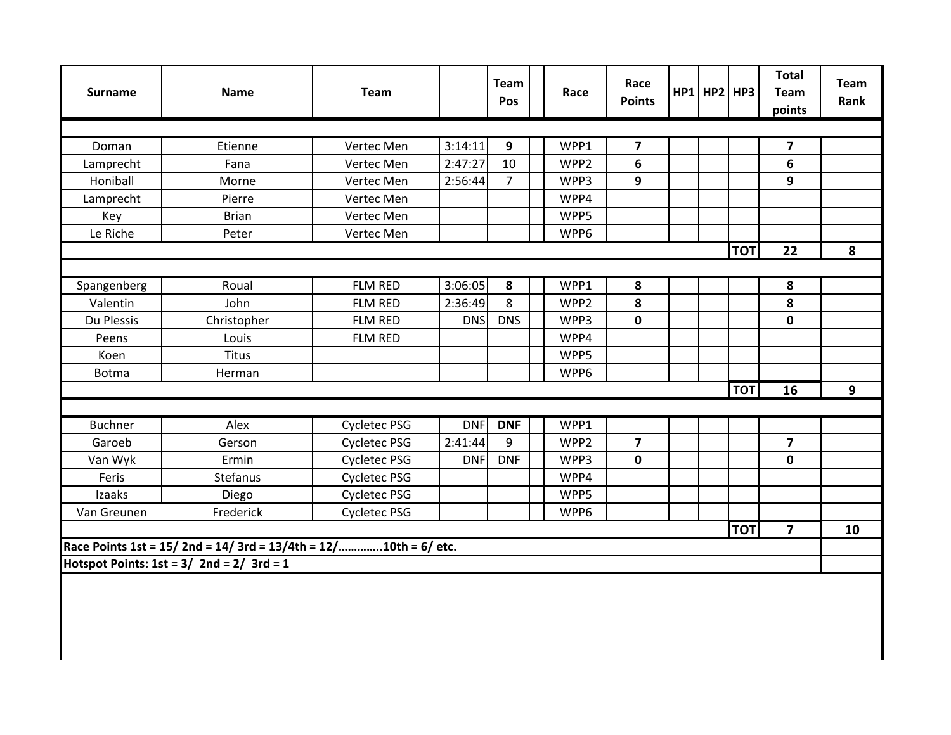| <b>Surname</b> | <b>Name</b>                                                    | Team                |            | Team<br>Pos    | Race | Race<br><b>Points</b>   | $HP1$ HP2 HP3 |            | <b>Total</b><br>Team<br>points | <b>Team</b><br>Rank |
|----------------|----------------------------------------------------------------|---------------------|------------|----------------|------|-------------------------|---------------|------------|--------------------------------|---------------------|
|                |                                                                |                     |            |                |      |                         |               |            |                                |                     |
| Doman          | Etienne                                                        | Vertec Men          | 3:14:11    | 9              | WPP1 | $\overline{\mathbf{z}}$ |               |            | $\overline{7}$                 |                     |
| Lamprecht      | Fana                                                           | Vertec Men          | 2:47:27    | 10             | WPP2 | 6                       |               |            | 6                              |                     |
| Honiball       | Morne                                                          | Vertec Men          | 2:56:44    | 7 <sup>1</sup> | WPP3 | 9                       |               |            | 9                              |                     |
| Lamprecht      | Pierre                                                         | Vertec Men          |            |                | WPP4 |                         |               |            |                                |                     |
| Key            | <b>Brian</b>                                                   | Vertec Men          |            |                | WPP5 |                         |               |            |                                |                     |
| Le Riche       | Peter                                                          | Vertec Men          |            |                | WPP6 |                         |               |            |                                |                     |
|                |                                                                |                     |            |                |      |                         |               | <b>TOT</b> | 22                             | 8                   |
|                |                                                                |                     |            |                |      |                         |               |            |                                |                     |
| Spangenberg    | Roual                                                          | FLM RED             | 3:06:05    | 8              | WPP1 | 8                       |               |            | 8                              |                     |
| Valentin       | John                                                           | FLM RED             | 2:36:49    | 8              | WPP2 | 8                       |               |            | 8                              |                     |
| Du Plessis     | Christopher                                                    | FLM RED             | <b>DNS</b> | <b>DNS</b>     | WPP3 | $\mathbf 0$             |               |            | $\mathbf 0$                    |                     |
| Peens          | Louis                                                          | <b>FLM RED</b>      |            |                | WPP4 |                         |               |            |                                |                     |
| Koen           | Titus                                                          |                     |            |                | WPP5 |                         |               |            |                                |                     |
| <b>Botma</b>   | Herman                                                         |                     |            |                | WPP6 |                         |               |            |                                |                     |
|                |                                                                |                     |            |                |      |                         |               | <b>TOT</b> | 16                             | 9                   |
| Buchner        | Alex                                                           | Cycletec PSG        | DNF        | <b>DNF</b>     | WPP1 |                         |               |            |                                |                     |
| Garoeb         | Gerson                                                         | <b>Cycletec PSG</b> | 2:41:44    | 9              | WPP2 | $\overline{7}$          |               |            | $\overline{7}$                 |                     |
| Van Wyk        | Ermin                                                          | Cycletec PSG        | <b>DNF</b> | <b>DNF</b>     | WPP3 | $\mathbf 0$             |               |            | $\mathbf 0$                    |                     |
| Feris          | Stefanus                                                       | Cycletec PSG        |            |                | WPP4 |                         |               |            |                                |                     |
| Izaaks         | Diego                                                          | Cycletec PSG        |            |                | WPP5 |                         |               |            |                                |                     |
| Van Greunen    | Frederick                                                      | <b>Cycletec PSG</b> |            |                | WPP6 |                         |               |            |                                |                     |
|                |                                                                |                     |            |                |      |                         |               | <b>TOT</b> | $\overline{\mathbf{z}}$        | 10                  |
|                | Race Points 1st = 15/2nd = 14/3rd = 13/4th = 12/10th = 6/ etc. |                     |            |                |      |                         |               |            |                                |                     |
|                | Hotspot Points: $1st = 3/2nd = 2/3rd = 1$                      |                     |            |                |      |                         |               |            |                                |                     |
|                |                                                                |                     |            |                |      |                         |               |            |                                |                     |
|                |                                                                |                     |            |                |      |                         |               |            |                                |                     |
|                |                                                                |                     |            |                |      |                         |               |            |                                |                     |
|                |                                                                |                     |            |                |      |                         |               |            |                                |                     |